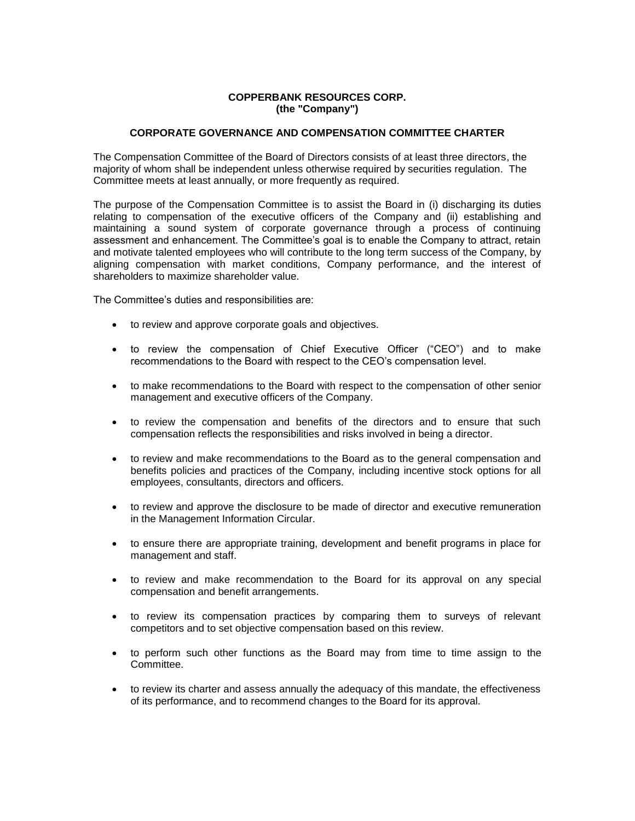# **COPPERBANK RESOURCES CORP. (the "Company")**

# **CORPORATE GOVERNANCE AND COMPENSATION COMMITTEE CHARTER**

The Compensation Committee of the Board of Directors consists of at least three directors, the majority of whom shall be independent unless otherwise required by securities regulation. The Committee meets at least annually, or more frequently as required.

The purpose of the Compensation Committee is to assist the Board in (i) discharging its duties relating to compensation of the executive officers of the Company and (ii) establishing and maintaining a sound system of corporate governance through a process of continuing assessment and enhancement. The Committee's goal is to enable the Company to attract, retain and motivate talented employees who will contribute to the long term success of the Company, by aligning compensation with market conditions, Company performance, and the interest of shareholders to maximize shareholder value.

The Committee's duties and responsibilities are:

- to review and approve corporate goals and objectives.
- to review the compensation of Chief Executive Officer ("CEO") and to make recommendations to the Board with respect to the CEO's compensation level.
- to make recommendations to the Board with respect to the compensation of other senior management and executive officers of the Company.
- to review the compensation and benefits of the directors and to ensure that such compensation reflects the responsibilities and risks involved in being a director.
- to review and make recommendations to the Board as to the general compensation and benefits policies and practices of the Company, including incentive stock options for all employees, consultants, directors and officers.
- to review and approve the disclosure to be made of director and executive remuneration in the Management Information Circular.
- to ensure there are appropriate training, development and benefit programs in place for management and staff.
- to review and make recommendation to the Board for its approval on any special compensation and benefit arrangements.
- to review its compensation practices by comparing them to surveys of relevant competitors and to set objective compensation based on this review.
- to perform such other functions as the Board may from time to time assign to the Committee.
- to review its charter and assess annually the adequacy of this mandate, the effectiveness of its performance, and to recommend changes to the Board for its approval.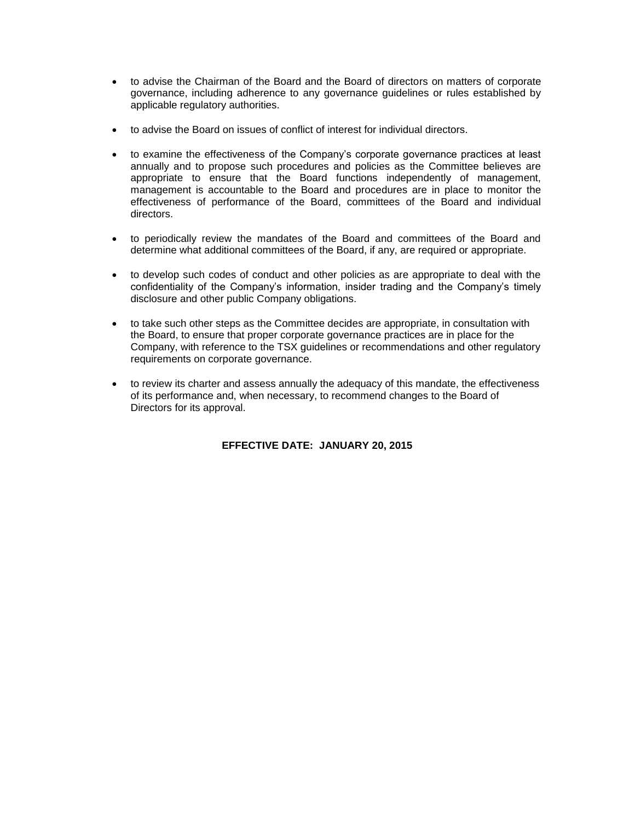- to advise the Chairman of the Board and the Board of directors on matters of corporate governance, including adherence to any governance guidelines or rules established by applicable regulatory authorities.
- to advise the Board on issues of conflict of interest for individual directors.
- to examine the effectiveness of the Company's corporate governance practices at least annually and to propose such procedures and policies as the Committee believes are appropriate to ensure that the Board functions independently of management, management is accountable to the Board and procedures are in place to monitor the effectiveness of performance of the Board, committees of the Board and individual directors.
- to periodically review the mandates of the Board and committees of the Board and determine what additional committees of the Board, if any, are required or appropriate.
- to develop such codes of conduct and other policies as are appropriate to deal with the confidentiality of the Company's information, insider trading and the Company's timely disclosure and other public Company obligations.
- to take such other steps as the Committee decides are appropriate, in consultation with the Board, to ensure that proper corporate governance practices are in place for the Company, with reference to the TSX guidelines or recommendations and other regulatory requirements on corporate governance.
- to review its charter and assess annually the adequacy of this mandate, the effectiveness of its performance and, when necessary, to recommend changes to the Board of Directors for its approval.

# **EFFECTIVE DATE: JANUARY 20, 2015**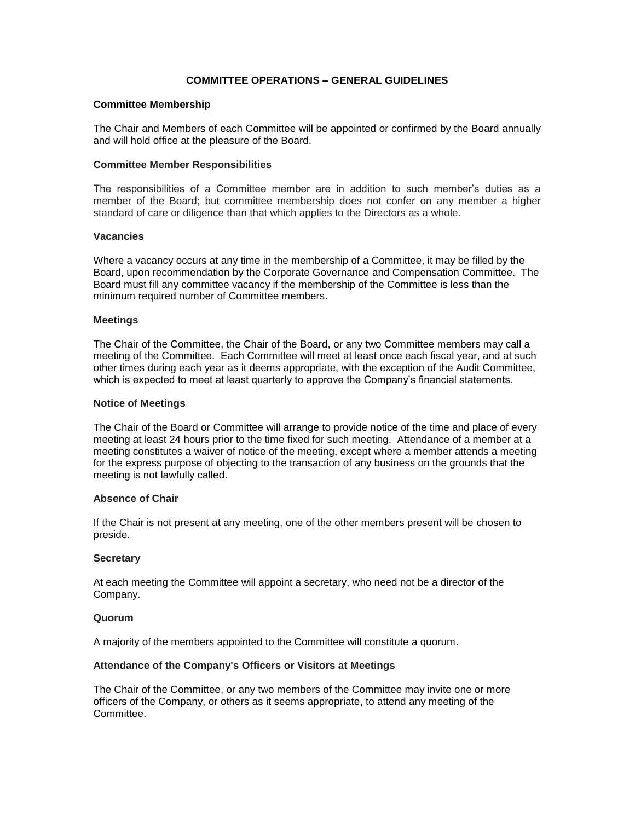# **COMMITTEE OPERATIONS – GENERAL GUIDELINES**

#### **Committee Membership**

The Chair and Members of each Committee will be appointed or confirmed by the Board annually and will hold office at the pleasure of the Board.

## **Committee Member Responsibilities**

The responsibilities of a Committee member are in addition to such member's duties as a member of the Board; but committee membership does not confer on any member a higher standard of care or diligence than that which applies to the Directors as a whole.

## **Vacancies**

Where a vacancy occurs at any time in the membership of a Committee, it may be filled by the Board, upon recommendation by the Corporate Governance and Compensation Committee. The Board must fill any committee vacancy if the membership of the Committee is less than the minimum required number of Committee members.

#### **Meetings**

The Chair of the Committee, the Chair of the Board, or any two Committee members may call a meeting of the Committee. Each Committee will meet at least once each fiscal year, and at such other times during each year as it deems appropriate, with the exception of the Audit Committee, which is expected to meet at least quarterly to approve the Company's financial statements.

#### **Notice of Meetings**

The Chair of the Board or Committee will arrange to provide notice of the time and place of every meeting at least 24 hours prior to the time fixed for such meeting. Attendance of a member at a meeting constitutes a waiver of notice of the meeting, except where a member attends a meeting for the express purpose of objecting to the transaction of any business on the grounds that the meeting is not lawfully called.

## **Absence of Chair**

If the Chair is not present at any meeting, one of the other members present will be chosen to preside.

## **Secretary**

At each meeting the Committee will appoint a secretary, who need not be a director of the Company.

#### **Quorum**

A majority of the members appointed to the Committee will constitute a quorum.

## **Attendance of the Company's Officers or Visitors at Meetings**

The Chair of the Committee, or any two members of the Committee may invite one or more officers of the Company, or others as it seems appropriate, to attend any meeting of the **Committee.**